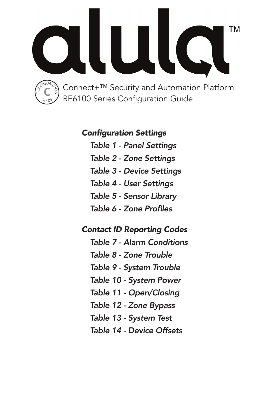

# Configuration Settings

*Table 1 - Panel Settings Table 2 - Zone Settings Table 3 - Device Settings Table 4 - User Settings Table 5 - Sensor Library* Table 6 - Zone Profiles

# Contact ID Reporting Codes

*Table 7 - Alarm Conditions Table 8 - Zone Trouble Table 9 - System Trouble Table 10 - System Power Table 11 - Open/Closing Table 12 - Zone Bypass Table 13 - System Test Table 14 - Device Offsets*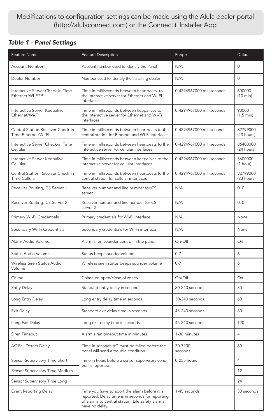## Modifications to configuration settings can be made using the Alula dealer portal (http://alulaconnect.com) or the Connect+ Installer App

#### Table 1 - Panel Settings

| Feature Name                                             | Feature Description                                                                                                                                                     | Range                     | Default                      |
|----------------------------------------------------------|-------------------------------------------------------------------------------------------------------------------------------------------------------------------------|---------------------------|------------------------------|
| Account Number                                           | Account number used to identify the Panel                                                                                                                               | N/A                       | $\Omega$                     |
| Dealer Number                                            | Number used to identify the installing dealer                                                                                                                           | N/A                       | $\Omega$                     |
| Interactive Server Check-in Time<br>Ethernet/Wi-Fi™      | Time in milliseconds between heartbeats to<br>the interactive server for Ethernet and Wi-Fi<br>interfaces                                                               | 0-4294967000 milliseconds | 600000<br>(10 min)           |
| Interactive Server Keepalive<br>Ethernet/Wi-Fi           | Time in milliseconds between keepalives to<br>the interactive server for Ethernet and Wi-Fi<br>interfaces                                                               | 0-4294967000 milliseconds | 90000<br>$(1.5 \text{ min})$ |
| Central Station Receiver Check-in<br>Time Ethernet/Wi-Fi | Time in milliseconds between heartbeats to the<br>central station for Ethernet and Wi-Fi interfaces                                                                     | 0-4294967000 milliseconds | 82799000<br>(23 hours)       |
| Interactive Server Check-in Time<br>Cellular             | Time in milliseconds between heartbeats to the<br>interactive server for cellular interfaces                                                                            | 0-4294967000 milliseconds | 86400000<br>(24 hours)       |
| Interactive Server Keepalive<br>Cellular                 | Time in milliseconds between keepalives to the<br>interactive server for cellular interfaces                                                                            | 0-4294967000 milliseconds | 3600000<br>(1 hour)          |
| Central Station Receiver Check-in<br>Time Cellular       | Time in milliseconds between heartbeats to the<br>central station for cellular interfaces                                                                               | 0-4294967000 milliseconds | 82799000<br>(23 hours)       |
| Receiver Routing, CS Server 1                            | Receiver number and line number for CS<br>server 1                                                                                                                      | N/A                       | 0, 0                         |
| Receiver Routing, CS Server 2                            | Receiver number and line number for CS<br>server 2                                                                                                                      | N/A                       | 0, 0                         |
| Primary Wi-Fi Credentials                                | Primary credentials for Wi-Fi interface                                                                                                                                 | N/A                       | None                         |
| Secondary Wi-Fi Credentials                              | Secondary credentials for Wi-Fi interface                                                                                                                               | N/A                       | None                         |
| Alarm Audio Volume                                       | Alarm siren sounder control in the panel                                                                                                                                | On/Off                    | On                           |
| Status Audio Volume                                      | Status beep sounder volume                                                                                                                                              | $0 - 7$                   | 6                            |
| Wireless Siren Status Audio<br>Volume                    | Wireless siren status beeps sounder volume                                                                                                                              | $0 - 7$                   | 6                            |
| Chime                                                    | Chime on open/close of zones                                                                                                                                            | On/Off                    | On                           |
| Entry Delay                                              | Standard entry delay in seconds                                                                                                                                         | 30-240 seconds            | 30                           |
| Long Entry Delay                                         | Long entry delay time in seconds                                                                                                                                        | 30-240 seconds            | 60                           |
| Exit Delay                                               | Standard exit delay time in seconds                                                                                                                                     | 45-240 seconds            | 60                           |
| Long Exit Delay                                          | Long exit delay time in seconds                                                                                                                                         | 45-240 seconds            | 120                          |
| Siren Timeout                                            | Alarm siren timeout time in minutes                                                                                                                                     | 1-30 minutes              | 4                            |
| AC Fail Detect Delay                                     | Time in seconds AC must be failed before the<br>panel will send a trouble condition                                                                                     | 30-7200<br>seconds        | 60                           |
| Sensor Supervisory Time Short                            | Time in hours before a sensor supervisory condi-                                                                                                                        | 0-255 hours               | 4                            |
| Sensor Supervisory Time Medium                           | tion is reported.                                                                                                                                                       |                           | 12                           |
| Sensor Supervisory Time Long                             |                                                                                                                                                                         |                           | 24                           |
| <b>Event Reporting Delay</b>                             | Time you have to abort the alarm before it is<br>reported. Delay time is in seconds for reporting<br>of alarms to central station. Life safety alarms<br>have no delay. | 1-45 seconds              | 30 seconds                   |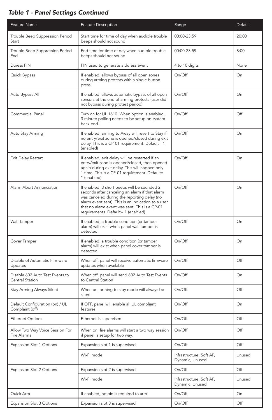## Table 1 - Panel Settings Continued

| Feature Name                                       | Feature Description                                                                                                                                                                                                                                                                        | Range                                       | Default |
|----------------------------------------------------|--------------------------------------------------------------------------------------------------------------------------------------------------------------------------------------------------------------------------------------------------------------------------------------------|---------------------------------------------|---------|
| Trouble Beep Suppression Period<br>Start           | Start time for time of day when audible trouble<br>beeps should not sound                                                                                                                                                                                                                  | 00:00-23:59                                 | 20:00   |
| Trouble Beep Suppression Period<br>End             | End time for time of day when audible trouble<br>beeps should not sound                                                                                                                                                                                                                    | 00:00-23:59                                 | 8:00    |
| Duress PIN                                         | PIN used to generate a duress event                                                                                                                                                                                                                                                        | 4 to 10 digits                              | None    |
| Quick Bypass                                       | If enabled, allows bypass of all open zones<br>during arming protests with a single button<br>press                                                                                                                                                                                        | On/Off                                      | On      |
| Auto Bypass All                                    | If enabled, allows automatic bypass of all open<br>sensors at the end of arming protests (user did<br>not bypass during protest period)                                                                                                                                                    | On/Off                                      | On      |
| Commercial Panel                                   | Turn on for UL 1610. When option is enabled,<br>3 minute polling needs to be setup on system<br>back-end.                                                                                                                                                                                  | On/Off                                      | Off     |
| Auto Stay Arming                                   | If enabled, arming to Away will revert to Stay if<br>no entry/exit zone is opened/closed during exit<br>delay. This is a CP-01 requirement, Default= 1<br>(enabled)                                                                                                                        | On/Off                                      | On      |
| Exit Delay Restart                                 | If enabled, exit delay will be restarted if an<br>entry/exit zone is opened/closed, then opened<br>again during exit delay. This will happen only<br>1 time. This is a CP-01 requirement. Default=<br>1 (enabled)                                                                          | On/Off                                      | On      |
| Alarm Abort Annunciation                           | If enabled, 3 short beeps will be sounded 2<br>seconds after canceling an alarm if that alarm<br>was canceled during the reporting delay (no<br>alarm event sent). This is an indication to a user<br>that no alarm event was sent. This is a CP-01<br>requirements. Default= 1 (enabled). | On/Off                                      | On      |
| Wall Tamper                                        | If enabled, a trouble condition (or tamper<br>alarm) will exist when panel wall tamper is<br>detected                                                                                                                                                                                      | On/Off                                      | On      |
| Cover Tamper                                       | If enabled, a trouble condition (or tamper<br>alarm) will exist when panel cover tamper is<br>detected                                                                                                                                                                                     | On/Off                                      | On      |
| Disable of Automatic Firmware<br>Updates           | When off, panel will receive automatic firmware<br>updates when available                                                                                                                                                                                                                  | On/Off                                      | Off     |
| Disable 602 Auto Test Events to<br>Central Station | When off, panel will send 602 Auto Test Events<br>to Central Station                                                                                                                                                                                                                       | On/Off                                      | On      |
| Stay Arming Always Silent                          | When on, arming to stay mode will always be<br>silent                                                                                                                                                                                                                                      | On/Off                                      | Off     |
| Default Configuration (on) / UL<br>Complaint (off) | If OFF, panel will enable all UL compliant<br>features.                                                                                                                                                                                                                                    | On/Off                                      | On      |
| <b>Ethernet Options</b>                            | Ethernet is supervised                                                                                                                                                                                                                                                                     | On/Off                                      | Off     |
| Allow Two Way Voice Session For<br>Fire Alarms     | When on, fire alarms will start a two way session<br>if panel is setup for two way.                                                                                                                                                                                                        | On/Off                                      | O#      |
| Expansion Slot 1 Options                           | Expansion slot 1 is supervised                                                                                                                                                                                                                                                             | On/Off                                      | Off     |
|                                                    | Wi-Fi mode                                                                                                                                                                                                                                                                                 | Infrastructure, Soft AP,<br>Dynamic, Unused | Unused  |
| Expansion Slot 2 Options                           | Expansion slot 2 is supervised                                                                                                                                                                                                                                                             | On/Off                                      | Off     |
|                                                    | Wi-Fi mode                                                                                                                                                                                                                                                                                 | Infrastructure, Soft AP,<br>Dynamic, Unused | Unused  |
| Quick Arm                                          | If enabled, no pin is required to arm                                                                                                                                                                                                                                                      | On/Off                                      | On      |
| Expansion Slot 3 Options                           | Expansion slot 3 is supervised                                                                                                                                                                                                                                                             | On/Off                                      | Off     |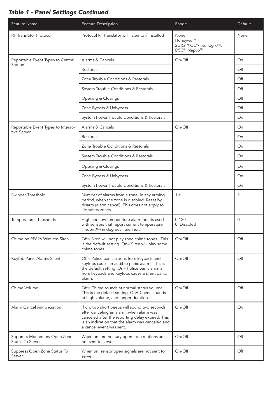## Table 1 - Panel Settings Continued

| Feature Name                                     | Feature Description                                                                                                                                                                                                           | Range                                                                                    | Default        |
|--------------------------------------------------|-------------------------------------------------------------------------------------------------------------------------------------------------------------------------------------------------------------------------------|------------------------------------------------------------------------------------------|----------------|
| RF Translator Protocol                           | Protocol RF translator will listen to if installed                                                                                                                                                                            | None,<br>Honeywell <sup>®</sup> ,<br>2GIG™,GE®/Interlogix™,<br>DSC <sup>®</sup> , Napco™ | None           |
| Reportable Event Types to Central                | Alarms & Cancels                                                                                                                                                                                                              | On/Off                                                                                   | On             |
| Station                                          | Restorals                                                                                                                                                                                                                     |                                                                                          | Off            |
|                                                  | Zone Trouble Conditions & Restorals                                                                                                                                                                                           |                                                                                          | Off            |
|                                                  | System Trouble Conditions & Restorals                                                                                                                                                                                         |                                                                                          | Off            |
|                                                  | Opening & Closings                                                                                                                                                                                                            |                                                                                          | Off            |
|                                                  | Zone Bypass & Unbypass                                                                                                                                                                                                        |                                                                                          | Off            |
|                                                  | System Power Trouble Conditions & Restorals                                                                                                                                                                                   |                                                                                          | On             |
| Reportable Event Types to Interac-               | Alarms & Cancels                                                                                                                                                                                                              | On/Off                                                                                   | On             |
| tive Server                                      | Restorals                                                                                                                                                                                                                     |                                                                                          | On             |
|                                                  | Zone Trouble Conditions & Restorals                                                                                                                                                                                           |                                                                                          | On             |
|                                                  | System Trouble Conditions & Restorals                                                                                                                                                                                         |                                                                                          | On             |
|                                                  | Opening & Closings                                                                                                                                                                                                            |                                                                                          | On             |
|                                                  | Zone Bypass & Unbypass                                                                                                                                                                                                        |                                                                                          | On             |
|                                                  | System Power Trouble Conditions & Restorals                                                                                                                                                                                   |                                                                                          | On             |
| Swinger Threshold                                | Number of alarms from a zone, in any arming<br>period, when the zone is disabled. Reset by<br>disarm (alarm cancel). This does not apply to<br>life safety zones.                                                             | $1 - 6$                                                                                  | $\mathfrak{p}$ |
| Temperature Thresholds                           | High and low temperature alarm points used<br>with sensors that report current temperature<br>(Trident™) in degrees Farenheit.                                                                                                | $0 - 120$<br>0: Disabled                                                                 | $\Omega$       |
| Chime on RE626 Wireless Siren                    | Off= Siren will not play zone chime tones. This<br>is the default setting. On= Siren will play some<br>chime tones.                                                                                                           | On/Off                                                                                   | Off            |
| Keyfob Panic Alarms Silent                       | Off= Police panic alarms from keypads and<br>keyfobs cause an audible panic alarm. This is<br>the default setting. On= Police panic alarms<br>from keypads and keyfobs cause a silent panic<br>alarm.                         | On/Off                                                                                   | Off            |
| Chime Volume                                     | Off= Chime sounds at normal status volume.<br>This is the default setting. On= Chime sounds<br>at high volume, and longer duration.                                                                                           | On/Off                                                                                   | Off            |
| Alarm Cancel Annunciation                        | If on, two short beeps will sound two seconds<br>after canceling an alarm, when alarm was<br>canceled after the reporting delay expired. This<br>is an indication that the alarm was canceled and<br>a cancel event was sent. | On/Off                                                                                   | On             |
| Suppress Momentary Open Zone<br>Status To Server | When on, momentary open from motions are<br>not sent to server                                                                                                                                                                | On/Off                                                                                   | Off            |
| Suppress Open Zone Status To<br>Server           | When on, sensor open signals are not sent to<br>server                                                                                                                                                                        | On/Off                                                                                   | Off            |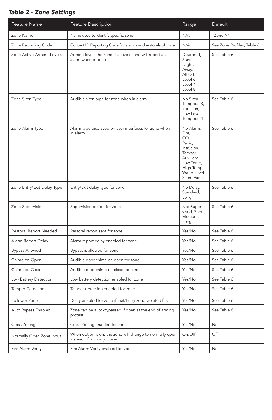#### Table 2 - Zone Settings

| Feature Name               | Feature Description                                                                    | Range                                                                                                                                | Default                    |
|----------------------------|----------------------------------------------------------------------------------------|--------------------------------------------------------------------------------------------------------------------------------------|----------------------------|
| Zone Name                  | Name used to identify specific zone                                                    | N/A                                                                                                                                  | "Zone N"                   |
| Zone Reporting Code        | Contact ID Reporting Code for alarms and restorals of zone                             | N/A                                                                                                                                  | See Zone Profiles, Table 6 |
| Zone Active Arming Levels  | Arming levels the zone is active in and will report an<br>alarm when tripped           | Disarmed,<br>Stay,<br>Night,<br>Away,<br>All Off,<br>Level 6,<br>Level 7,<br>Level 8                                                 | See Table 6                |
| Zone Siren Type            | Audible siren type for zone when in alarm                                              | No Siren,<br>Temporal 3,<br>Intrusion,<br>Low Level,<br>Temporal 4                                                                   | See Table 6                |
| Zone Alarm Type            | Alarm type displayed on user interfaces for zone when<br>in alarm                      | No Alarm,<br>Fire,<br>CO,<br>Panic,<br>Intrusion,<br>Tamper,<br>Auxiliary,<br>Low Temp,<br>High Temp,<br>Water Level<br>Silent Panic | See Table 6                |
| Zone Entry/Exit Delay Type | Entry/Exit delay type for zone                                                         | No Delay,<br>Standard,<br>Long                                                                                                       | See Table 6                |
| Zone Supervision           | Supervision period for zone                                                            | Not Super-<br>vised, Short,<br>Medium,<br>Long                                                                                       | See Table 6                |
| Restoral Report Needed     | Restoral report sent for zone                                                          | Yes/No                                                                                                                               | See Table 6                |
| Alarm Report Delay         | Alarm report delay enabled for zone                                                    | Yes/No                                                                                                                               | See Table 6                |
| <b>Bypass Allowed</b>      | Bypass is allowed for zone                                                             | Yes/No                                                                                                                               | See Table 6                |
| Chime on Open              | Audible door chime on open for zone                                                    | Yes/No                                                                                                                               | See Table 6                |
| Chime on Close             | Audible door chime on close for zone                                                   | Yes/No                                                                                                                               | See Table 6                |
| Low Battery Detection      | Low battery detection enabled for zone                                                 | Yes/No                                                                                                                               | See Table 6                |
| <b>Tamper Detection</b>    | Tamper detection enabled for zone                                                      | Yes/No                                                                                                                               | See Table 6                |
| Follower Zone              | Delay enabled for zone if Exit/Entry zone violated first                               | Yes/No                                                                                                                               | See Table 6                |
| Auto Bypass Enabled        | Zone can be auto-bypassed if open at the end of arming<br>protest                      | Yes/No                                                                                                                               | See Table 6                |
| Cross Zoning               | Cross Zoning enabled for zone                                                          | Yes/No                                                                                                                               | No                         |
| Normally Open Zone Input   | When option is on, the zone will change to normally open<br>instead of normally closed | On/Off                                                                                                                               | Off                        |
| Fire Alarm Verify          | Fire Alarm Verify enabled for zone                                                     | Yes/No                                                                                                                               | No                         |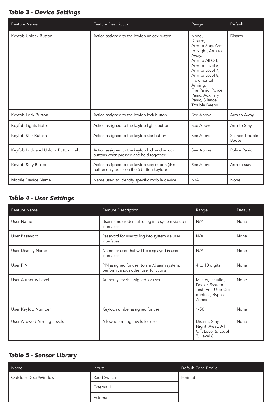#### Table 3 - Device Settings

| Feature Name                       | Feature Description                                                                           | Range                                                                                                                                                                                                                                                | Default                  |
|------------------------------------|-----------------------------------------------------------------------------------------------|------------------------------------------------------------------------------------------------------------------------------------------------------------------------------------------------------------------------------------------------------|--------------------------|
| Keyfob Unlock Button               | Action assigned to the keyfob unlock button                                                   | None.<br>Disarm.<br>Arm to Stay, Arm<br>to Night, Arm to<br>Away,<br>Arm to All Off,<br>Arm to Level 6,<br>Arm to Level 7,<br>Arm to Level 8,<br>Incremental<br>Arming,<br>Fire Panic, Police<br>Panic, Auxiliary<br>Panic, Silence<br>Trouble Beeps | Disarm                   |
| Keyfob Lock Button                 | Action assigned to the keyfob lock button                                                     | See Above                                                                                                                                                                                                                                            | Arm to Away              |
| Keyfob Lights Button               | Action assigned to the keyfob lights button                                                   | See Above                                                                                                                                                                                                                                            | Arm to Stay              |
| Keyfob Star Button                 | Action assigned to the keyfob star button                                                     | See Above                                                                                                                                                                                                                                            | Silence Trouble<br>Beeps |
| Keyfob Lock and Unlock Button Held | Action assigned to the keyfob lock and unlock<br>buttons when pressed and held together       | See Above                                                                                                                                                                                                                                            | Police Panic             |
| Keyfob Stay Button                 | Action assigned to the keyfob stay button (this<br>button only exists on the 5 button keyfob) | See Above                                                                                                                                                                                                                                            | Arm to stay              |
| Mobile Device Name                 | Name used to identify specific mobile device                                                  | N/A                                                                                                                                                                                                                                                  | None                     |

## Table 4 - User Settings

| Feature Name               | Feature Description                                                                 | Range                                                                                            | Default |
|----------------------------|-------------------------------------------------------------------------------------|--------------------------------------------------------------------------------------------------|---------|
| User Name                  | User name credential to log into system via user<br>interfaces                      | N/A                                                                                              | None    |
| User Password              | Password for user to log into system via user<br>interfaces                         | N/A                                                                                              | None    |
| User Display Name          | Name for user that will be displayed in user<br>interfaces                          | N/A                                                                                              | None    |
| User PIN                   | PIN assigned for user to arm/disarm system,<br>perform various other user functions | 4 to 10 digits                                                                                   | None    |
| User Authority Level       | Authority levels assigned for user                                                  | Master, Installer,<br>Dealer, System<br>Test, Edit User Cre-<br>dentials, Bypass<br><b>Zones</b> | None    |
| User Keyfob Number         | Keyfob number assigned for user                                                     | $1 - 50$                                                                                         | None    |
| User Allowed Arming Levels | Allowed arming levels for user                                                      | Disarm, Stay,<br>Night, Away, All<br>Off, Level 6, Level<br>7, Level 8                           | None    |

#### Table 5 - Sensor Library

| Name                | Inputs      | Default Zone Profile |
|---------------------|-------------|----------------------|
| Outdoor Door/Window | Reed Switch | Perimeter            |
|                     | External 1  |                      |
|                     | External 2  |                      |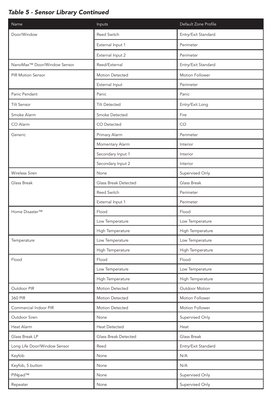## Table 5 - Sensor Library Continued

| Name                         | Inputs               | Default Zone Profile |  |  |
|------------------------------|----------------------|----------------------|--|--|
| Door/Window                  | <b>Reed Switch</b>   | Entry/Exit Standard  |  |  |
|                              | External Input 1     | Perimeter            |  |  |
|                              | External Input 2     | Perimeter            |  |  |
| NanoMax™ Door/Window Sensor  | Reed/External        | Entry/Exit Standard  |  |  |
| <b>PIR Motion Sensor</b>     | Motion Detected      | Motion Follower      |  |  |
|                              | External Input       | Perimeter            |  |  |
| Panic Pendant                | Panic                | Panic                |  |  |
| <b>Tilt Sensor</b>           | <b>Tilt Detected</b> | Entry/Exit Long      |  |  |
| Smoke Alarm                  | Smoke Detected       | Fire                 |  |  |
| CO Alarm                     | CO Detected          | CO                   |  |  |
| Generic                      | Primary Alarm        | Perimeter            |  |  |
|                              | Momentary Alarm      | Interior             |  |  |
|                              | Secondary Input 1    | Interior             |  |  |
|                              | Secondary Input 2    | Interior             |  |  |
| Wireless Siren               | None                 | Supervised Only      |  |  |
| Glass Break                  | Glass Break Detected | Glass Break          |  |  |
|                              | Reed Switch          | Perimeter            |  |  |
|                              | External Input 1     | Perimeter            |  |  |
| Home Disaster™               | Flood                | Flood                |  |  |
|                              | Low Temperature      | Low Temperature      |  |  |
|                              | High Temperature     | High Temperature     |  |  |
| Temperature                  | Low Temperature      | Low Temperature      |  |  |
|                              | High Temperature     | High Temperature     |  |  |
| Flood                        | Flood                | Flood                |  |  |
|                              | Low Temperature      | Low Temperature      |  |  |
|                              | High Temperature     | High Temperature     |  |  |
| Outdoor PIR                  | Motion Detected      | Outdoor Motion       |  |  |
| 360 PIR                      | Motion Detected      | Motion Follower      |  |  |
| Commercial Indoor PIR        | Motion Detected      | Motion Follower      |  |  |
| Outdoor Siren                | None                 | Supervised Only      |  |  |
| Heat Alarm                   | Heat Detected        | Heat                 |  |  |
| Glass Break LP               | Glass Break Detected | Glass Break          |  |  |
| Long Life Door/Window Sensor | Reed                 | Entry/Exit Standard  |  |  |
| Keyfob                       | None                 | N/A                  |  |  |
| Keyfob, 5 button             | None                 | N/A                  |  |  |
| PINpad™                      | None                 | Supervised Only      |  |  |
| Repeater                     | None                 | Supervised Only      |  |  |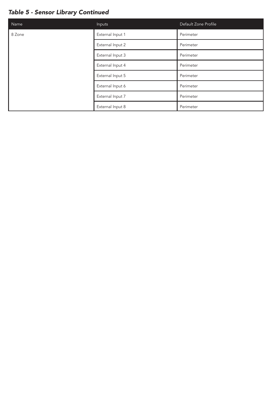## Table 5 - Sensor Library Continued

| Name   | Inputs           | Default Zone Profile |
|--------|------------------|----------------------|
| 8 Zone | External Input 1 | Perimeter            |
|        | External Input 2 | Perimeter            |
|        | External Input 3 | Perimeter            |
|        | External Input 4 | Perimeter            |
|        | External Input 5 | Perimeter            |
|        | External Input 6 | Perimeter            |
|        | External Input 7 | Perimeter            |
|        | External Input 8 | Perimeter            |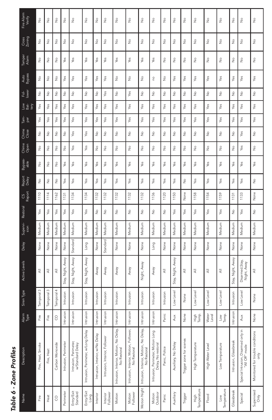| г |
|---|
|   |
|   |
|   |
| ٠ |
| I |
| ١ |
|   |
|   |
|   |
|   |
|   |
|   |

| Fire Alarm<br>Verify | ž                 | ş                           | $\frac{1}{2}$     | ş                           | $\frac{1}{2}$                             | $\frac{1}{2}$                      | $\frac{1}{2}$                   | ş                             | å                                      | $\frac{1}{2}$                          | $\frac{9}{2}$                                         | ş                                                       | $\stackrel{\circ}{\geq}$    | $\stackrel{\circ}{\geq}$    | $\frac{1}{2}$               | $\frac{1}{2}$              | $\frac{1}{2}$               | ş                        | $\frac{9}{2}$              | $\frac{1}{2}$                                         | $\frac{1}{2}$                            |
|----------------------|-------------------|-----------------------------|-------------------|-----------------------------|-------------------------------------------|------------------------------------|---------------------------------|-------------------------------|----------------------------------------|----------------------------------------|-------------------------------------------------------|---------------------------------------------------------|-----------------------------|-----------------------------|-----------------------------|----------------------------|-----------------------------|--------------------------|----------------------------|-------------------------------------------------------|------------------------------------------|
| Cross<br>Zoning      | ž                 | $\stackrel{\circ}{\geq}$    | $\frac{\circ}{2}$ | $\frac{\circ}{2}$           | $\frac{1}{2}$                             | $\frac{9}{2}$                      | $\frac{\circ}{2}$               | $\stackrel{\circ}{\geq}$      | $\frac{\circ}{2}$                      | $\frac{\circ}{2}$                      | $\frac{9}{2}$                                         | ž                                                       | $\frac{9}{2}$               | $\frac{\circ}{2}$           | $\frac{1}{2}$               | $\frac{1}{2}$              | $\stackrel{\circ}{\succeq}$ | $\stackrel{\circ}{\geq}$ | $\frac{9}{2}$              | $\stackrel{\circ}{\geq}$                              | $\frac{0}{2}$                            |
| Tamper<br>Alam       | ş                 | $\frac{9}{2}$               | $\frac{1}{2}$     | Yes                         | Yes                                       | Yes                                | Yes                             | Yes                           | Yes                                    | Yes                                    | Yes                                                   | Yes                                                     | $\frac{9}{2}$               | $\stackrel{\circ}{\simeq}$  | $\frac{9}{2}$               | $\stackrel{\circ}{\simeq}$ | $\stackrel{\circ}{\succeq}$ | $\frac{9}{2}$            | $\frac{9}{2}$              | $\frac{9}{2}$                                         | $\stackrel{\circ}{\simeq}$               |
| Auto<br>Bypass       | ž                 | $\stackrel{\circ}{\geq}$    | $\frac{\circ}{2}$ | Yes                         | Yes                                       | Yes                                | Yes                             | Yes                           | $\frac{\circ}{\sim}$                   | $\frac{\circ}{2}$                      | $\frac{9}{2}$                                         | o u                                                     | $\frac{9}{2}$               | Yes                         | Yes                         | Yes                        | Yes                         | Yes                      | Yes                        | Yes                                                   | Yes                                      |
| Fol<br>lower         | ş                 | $\stackrel{\circ}{\simeq}$  | $\frac{9}{2}$     | $\stackrel{\circ}{\simeq}$  | $\stackrel{\circ}{\succeq}$               | $\stackrel{\circ}{\succeq}$        | ş                               | Yes                           | $\stackrel{\circ}{\simeq}$             | Yes                                    | $\frac{1}{2}$                                         | ş                                                       | ş                           | $\stackrel{\circ}{\simeq}$  | $\stackrel{\circ}{\simeq}$  | $\stackrel{\circ}{\simeq}$ | $\stackrel{\circ}{\succeq}$ | ş                        | $\stackrel{\circ}{\simeq}$ | ş                                                     | ş                                        |
| low<br>Bat-<br>tery  | Yes               | yes                         | Yes               | Yes                         | Yes                                       | Yes                                | Yes                             | Yes                           | Yes                                    | Yes                                    | Yes                                                   | Yes                                                     | Yes                         | Yes                         | Yes                         | Yes                        | Yes                         | Yes                      | Yes                        | yes                                                   | Yes                                      |
| Tan<br>per           | Yes               | Yes                         | Yes               | Yes                         | Yes                                       | Yes                                | Yes                             | Yes                           | Yes                                    | Yes                                    | Yes                                                   | Yes                                                     | Yes                         | Yes                         | Yes                         | Yes                        | Yes                         | Yes                      | Yes                        | Yes                                                   | Yes                                      |
| Chime<br>Close       | ž                 | $\stackrel{\circ}{\geq}$    | $\frac{\circ}{2}$ | $\stackrel{\circ}{\succeq}$ | Yes                                       | Yes                                | $\frac{\circ}{2}$               | $\stackrel{\circ}{\geq}$      | å                                      | $\frac{1}{2}$                          | $\frac{1}{2}$                                         | ž                                                       | $\stackrel{\circ}{\succeq}$ | $\stackrel{\circ}{\succeq}$ | $\stackrel{\circ}{\simeq}$  | $\stackrel{\circ}{\simeq}$ | $\frac{1}{2}$               | $\frac{1}{2}$            | $\frac{\circ}{2}$          | Yes                                                   | $\stackrel{\circ}{\succeq}$              |
| Chime<br>Open        | ž                 | $\stackrel{\circ}{\succeq}$ | $\frac{\circ}{2}$ | $\frac{\circ}{2}$           | Yes                                       | Yes                                | $\frac{\circ}{2}$               | $\stackrel{\circ}{\succeq}$   | ş                                      | $\frac{1}{2}$                          | $\frac{1}{2}$                                         | ş                                                       | $\frac{\circ}{\sim}$        | $\frac{\circ}{2}$           | $\frac{0}{2}$               | $\frac{0}{2}$              | $\stackrel{\circ}{\succeq}$ | ş                        | $\frac{1}{2}$              | Yes                                                   | $\frac{0}{2}$                            |
| Bypass-<br>able      | å                 | $\frac{\circ}{Z}$           | $\frac{0}{2}$     | Yes                         | Yes                                       | Yes                                | Yes                             | Yes                           | Yes                                    | Yes                                    | Yes                                                   | Yes                                                     | Yes                         | Yes                         | Yes                         | Yes                        | Yes                         | Yes                      | Yes                        | Yes                                                   | Yes                                      |
| Report<br>Delay      | ż                 | $\stackrel{\circ}{\succeq}$ | $\frac{\circ}{2}$ | Yes                         | Yes                                       | Yes                                | Yes                             | Yes                           | Yes                                    | Yes                                    | Yes                                                   | Yes                                                     | Yes                         | Yes                         | $\stackrel{\circ}{\succeq}$ | Yes                        | Yes                         | Yes                      | Yes                        | Yes                                                   | $\stackrel{\circ}{\succeq}$              |
| CS<br>Report         | 1110              | 1114                        | 1162              | 1131                        | 1134                                      | 1134                               | 1132                            | 1132                          | 1132                                   | 1132                                   | 1132                                                  | 1136                                                    | 1120                        | 1150                        | None                        | 1158                       | 1154                        | 1159                     | 1131                       | 1133                                                  | None                                     |
| Restoral             | Yes               | Yes                         | Yes               | Yes                         | Yes                                       | Yes                                | $\frac{1}{2}$                   | $\stackrel{\circ}{\geq}$      | $\stackrel{\circ}{\geq}$               | $\frac{9}{2}$                          | $\frac{1}{2}$                                         | å                                                       | $\stackrel{\circ}{\succeq}$ | Yes                         | Yes                         | Yes                        | Yes                         | Yes                      | $\frac{\circ}{2}$          | Yes                                                   | $\frac{1}{2}$                            |
| Supervi-<br>sion     | Medium            | Medium                      | Medium            | Medium                      | Medium                                    | Medium                             | Medium                          | Medium                        | Medium                                 | Medium                                 | Medium                                                | Medium                                                  | Medium                      | Medium                      | Medium                      | Medium                     | Medium                      | Medium                   | Medium                     | Medium                                                | Medium                                   |
| Delay                | None              | None                        | None              | None                        | Standard                                  | Long                               | None                            | Standard                      | None                                   | None                                   | None                                                  | Long                                                    | None                        | None                        | None                        | None                       | None                        | None                     | None                       | None                                                  | None                                     |
| Active Levels        | ₹                 | ₹                           | $\equiv$          | Stay, Night, Away           | Stay, Night, Away                         | Stay, Night, Away                  | Away                            | Away                          | Away                                   | Away                                   | Night, Away                                           | Away                                                    | ₹                           | Stay, Night, Away           | ₹                           | ₹                          | ₹                           | ₹                        | Stay, Night, Away          | Disarmed, Stay,<br>Night, Away                        | $\overline{\overline{z}}$                |
| Siren Type           | Temporal 3        | Temporal                    | Temporal 4        | Intrusion                   | Intrusion                                 | Intrusion                          | ntrusion                        | Intrusion                     | Intrusion                              | Intrusion                              | Intrusion                                             | Intrusion                                               | Intrusion                   | ow Level                    | None                        | Low Leve                   | Low Leve                    | Low Level                | Intrusion                  | Low Level                                             | None                                     |
| Alarm<br>Type        | Eire              | Fire                        | S                 | Intrusion                   | Intrusion                                 | Intrusion                          | Intrusion                       | Intrusion                     | Intrusion                              | Intrusion                              | Intrusion                                             | Intrusion                                               | Panic                       | Aux                         | None                        | 두 ei<br>Temp               | Water<br>Level              | $\frac{Low}{Temp}$       | Intrusion                  | Aux                                                   | None                                     |
| Description          | Fire, Heat, Smoke | Fire, Heat                  | Carbon Monoxide   | Intrusion, Perimeter        | Intrusion, Perimeter,<br>w/Standard Delay | Intrusion, Perimeter, w/Long Delay | Intrusion, Interior, w/No Delay | Intrusion, Interior, Follower | Intrusion, Interior, Motion, No Delay, | Intrusion, Interior, Motion, Follower, | Intrusion, Interior, Motion, No Delay,<br>No Restoral | Intrusion, Perimeter, Motion Long<br>Delay, No restoral | Panic, Police               | Auxiliary, No Delay         | Trigger zone for scenes     | High Temperature           | High Water Level            | Low Temperature          | Intrusion, Glassbreak      | Special Intrusion, Disarmed only in<br>"All Off" mode | Monitored for trouble conditions<br>only |
| Name                 | Fire              | Heat                        | <sup>o</sup>      | Perimeter                   | Entry/Exit<br>Standard                    | Entry/Exit<br>Long                 | Interior                        | Interior<br>Follower          | Motion                                 | Motion<br>Follower                     | Motion Night                                          | Motion<br>Outdoor                                       | Panic                       | Auxiliary                   | Trigger                     | High<br>Temperature        | Flood                       | Temperature<br>Low       | Glassbreak                 | Special                                               | Supervised<br>Only                       |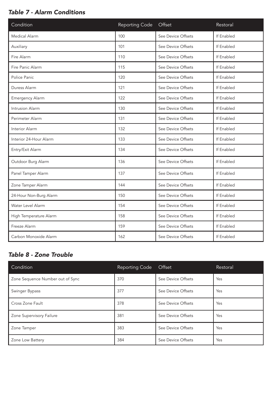## Table 7 - Alarm Conditions

| Condition              | Reporting Code | Offset             | Restoral   |
|------------------------|----------------|--------------------|------------|
| Medical Alarm          | 100            | See Device Offsets | If Enabled |
| Auxiliary              | 101            | See Device Offsets | If Enabled |
| Fire Alarm             | 110            | See Device Offsets | If Enabled |
| Fire Panic Alarm       | 115            | See Device Offsets | If Enabled |
| Police Panic           | 120            | See Device Offsets | If Fnabled |
| Duress Alarm           | 121            | See Device Offsets | If Enabled |
| <b>Emergency Alarm</b> | 122            | See Device Offsets | If Enabled |
| Intrusion Alarm        | 130            | See Device Offsets | If Fnabled |
| Perimeter Alarm        | 131            | See Device Offsets | If Fnabled |
| Interior Alarm         | 132            | See Device Offsets | If Enabled |
| Interior 24-Hour Alarm | 133            | See Device Offsets | If Fnabled |
| Entry/Exit Alarm       | 134            | See Device Offsets | If Enabled |
| Outdoor Burg Alarm     | 136            | See Device Offsets | If Fnabled |
| Panel Tamper Alarm     | 137            | See Device Offsets | If Enabled |
| Zone Tamper Alarm      | 144            | See Device Offsets | If Enabled |
| 24-Hour Non-Burg Alarm | 150            | See Device Offsets | If Enabled |
| Water Level Alarm      | 154            | See Device Offsets | If Enabled |
| High Temperature Alarm | 158            | See Device Offsets | If Fnabled |
| Freeze Alarm           | 159            | See Device Offsets | If Enabled |
| Carbon Monoxide Alarm  | 162            | See Device Offsets | If Enabled |

# Table 8 - Zone Trouble

| Condition                        | Reporting Code | Offset             | Restoral |
|----------------------------------|----------------|--------------------|----------|
| Zone Sequence Number out of Sync | 370            | See Device Offsets | Yes      |
| Swinger Bypass                   | 377            | See Device Offsets | Yes      |
| Cross Zone Fault                 | 378            | See Device Offsets | Yes      |
| Zone Supervisory Failure         | 381            | See Device Offsets | Yes      |
| Zone Tamper                      | 383            | See Device Offsets | Yes      |
| Zone Low Battery                 | 384            | See Device Offsets | Yes      |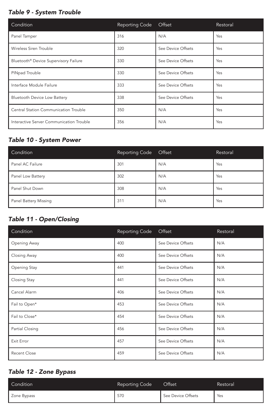#### Table 9 - System Trouble

| Condition                                | <b>Reporting Code</b> | Offset             | Restoral |
|------------------------------------------|-----------------------|--------------------|----------|
| Panel Tamper                             | 316                   | N/A                | Yes      |
| Wireless Siren Trouble                   | 320                   | See Device Offsets | Yes      |
| Bluetooth® Device Supervisory Failure    | 330                   | See Device Offsets | Yes      |
| PINpad Trouble                           | 330                   | See Device Offsets | Yes      |
| Interface Module Failure                 | 333                   | See Device Offsets | Yes      |
| <b>Bluetooth Device Low Battery</b>      | 338                   | See Device Offsets | Yes      |
| Central Station Communication Trouble    | 350                   | N/A                | Yes      |
| Interactive Server Communication Trouble | 356                   | N/A                | Yes      |

## Table 10 - System Power

| Condition             | <b>Reporting Code</b> | Offset | Restoral |
|-----------------------|-----------------------|--------|----------|
| Panel AC Failure      | 301                   | N/A    | Yes      |
| Panel Low Battery     | 302                   | N/A    | Yes      |
| Panel Shut Down       | 308                   | N/A    | Yes      |
| Panel Battery Missing | 311                   | N/A    | Yes      |

# Table 11 - Open/Closing

| Condition           | <b>Reporting Code</b> | Offset             | Restoral |
|---------------------|-----------------------|--------------------|----------|
| Opening Away        | 400                   | See Device Offsets | N/A      |
| Closing Away        | 400                   | See Device Offsets | N/A      |
| Opening Stay        | 441                   | See Device Offsets | N/A      |
| Closing Stay        | 441                   | See Device Offsets | N/A      |
| Cancel Alarm        | 406                   | See Device Offsets | N/A      |
| Fail to Open*       | 453                   | See Device Offsets | N/A      |
| Fail to Close*      | 454                   | See Device Offsets | N/A      |
| Partial Closing     | 456                   | See Device Offsets | N/A      |
| Exit Error          | 457                   | See Device Offsets | N/A      |
| <b>Recent Close</b> | 459                   | See Device Offsets | N/A      |

# Table 12 - Zone Bypass

| Condition   | Reporting Code | Offset             | Restoral |
|-------------|----------------|--------------------|----------|
| Zone Bypass | 570            | See Device Offsets | Yes      |